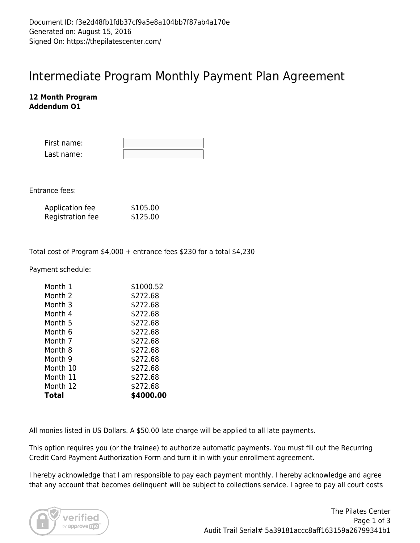## Intermediate Program Monthly Payment Plan Agreement

## **12 Month Program Addendum O1**

| First name: |  |
|-------------|--|
| Last name:  |  |

Entrance fees:

| Application fee  | \$105.00 |
|------------------|----------|
| Registration fee | \$125.00 |

Total cost of Program \$4,000 + entrance fees \$230 for a total \$4,230

Payment schedule:

| Month 1  | \$1000.52 |
|----------|-----------|
| Month 2  | \$272.68  |
| Month 3  | \$272.68  |
| Month 4  | \$272.68  |
| Month 5  | \$272.68  |
| Month 6  | \$272.68  |
| Month 7  | \$272.68  |
| Month 8  | \$272.68  |
| Month 9  | \$272.68  |
| Month 10 | \$272.68  |
| Month 11 | \$272.68  |
| Month 12 | \$272.68  |
| Total    | \$4000.00 |

All monies listed in US Dollars. A \$50.00 late charge will be applied to all late payments.

This option requires you (or the trainee) to authorize automatic payments. You must fill out the Recurring Credit Card Payment Authorization Form and turn it in with your enrollment agreement.

I hereby acknowledge that I am responsible to pay each payment monthly. I hereby acknowledge and agree that any account that becomes delinquent will be subject to collections service. I agree to pay all court costs

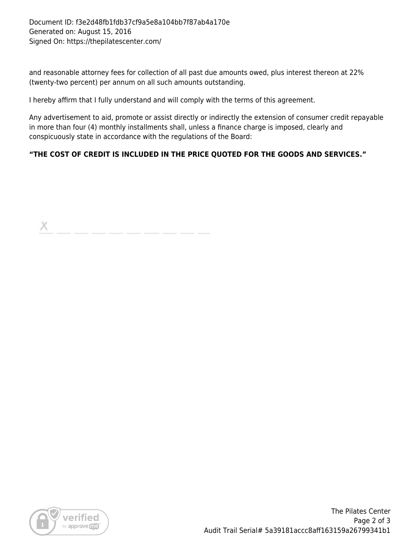and reasonable attorney fees for collection of all past due amounts owed, plus interest thereon at 22% (twenty-two percent) per annum on all such amounts outstanding.

I hereby affirm that I fully understand and will comply with the terms of this agreement.

Any advertisement to aid, promote or assist directly or indirectly the extension of consumer credit repayable in more than four (4) monthly installments shall, unless a finance charge is imposed, clearly and conspicuously state in accordance with the regulations of the Board:

## **"THE COST OF CREDIT IS INCLUDED IN THE PRICE QUOTED FOR THE GOODS AND SERVICES."**

X